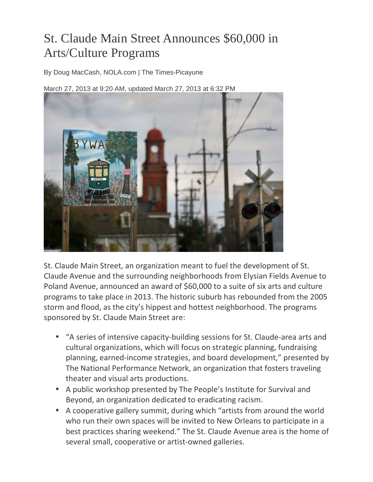## St. Claude Main Street Announces \$60,000 in Arts/Culture Programs

By Doug MacCash, NOLA.com | The Times-Picayune

March 27, 2013 at 9:20 AM, updated March 27, 2013 at 6:32 PM



St. Claude Main Street, an organization meant to fuel the development of St. Claude Avenue and the surrounding neighborhoods from Elysian Fields Avenue to Poland Avenue, announced an award of \$60,000 to a suite of six arts and culture programs to take place in 2013. The historic suburb has rebounded from the 2005 storm and flood, as the city's hippest and hottest neighborhood. The programs sponsored by St. Claude Main Street are:

- "A series of intensive capacity-building sessions for St. Claude-area arts and cultural organizations, which will focus on strategic planning, fundraising planning, earned-income strategies, and board development," presented by The National Performance Network, an organization that fosters traveling theater and visual arts productions.
- A public workshop presented by The People's Institute for Survival and Beyond, an organization dedicated to eradicating racism.
- A cooperative gallery summit, during which "artists from around the world who run their own spaces will be invited to New Orleans to participate in a best practices sharing weekend." The St. Claude Avenue area is the home of several small, cooperative or artist-owned galleries.